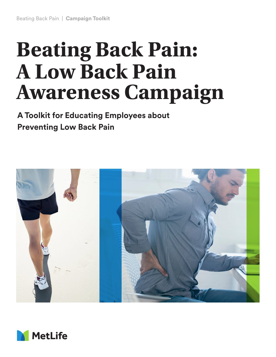# **Beating Back Pain: A Low Back Pain Awareness Campaign**

**A Toolkit for Educating Employees about Preventing Low Back Pain**